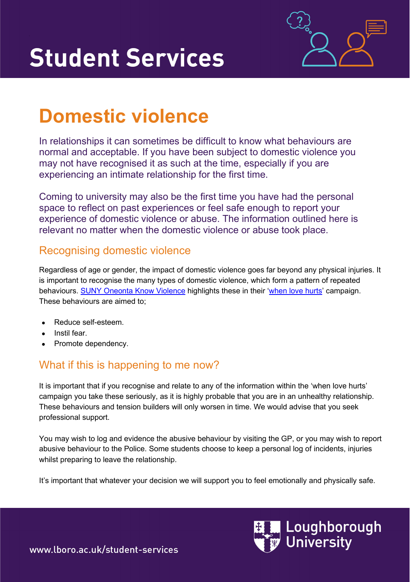

# **Domestic violence**

In relationships it can sometimes be difficult to know what behaviours are normal and acceptable. If you have been subject to domestic violence you may not have recognised it as such at the time, especially if you are experiencing an intimate relationship for the first time.

Coming to university may also be the first time you have had the personal space to reflect on past experiences or feel safe enough to report your experience of domestic violence or abuse. The information outlined here is relevant no matter when the domestic violence or abuse took place.

### Recognising domestic violence

Regardless of age or gender, the impact of domestic violence goes far beyond any physical injuries. It is important to recognise the many types of domestic violence, which form a pattern of repeated behaviours. **SUNY Oneonta Know Violence** highlights these in their ['when love hurts'](https://suny.oneonta.edu/sites/default/files/uploads/2018-10/rvwheel2017.jpg) campaign. These behaviours are aimed to;

- Reduce self-esteem.
- Instil fear.
- Promote dependency.

## What if this is happening to me now?

It is important that if you recognise and relate to any of the information within the 'when love hurts' campaign you take these seriously, as it is highly probable that you are in an unhealthy relationship. These behaviours and tension builders will only worsen in time. We would advise that you seek professional support.

You may wish to log and evidence the abusive behaviour by visiting the GP, or you may wish to report abusive behaviour to the Police. Some students choose to keep a personal log of incidents, injuries whilst preparing to leave the relationship.

It's important that whatever your decision we will support you to feel emotionally and physically safe.



www.lboro.ac.uk/student-services